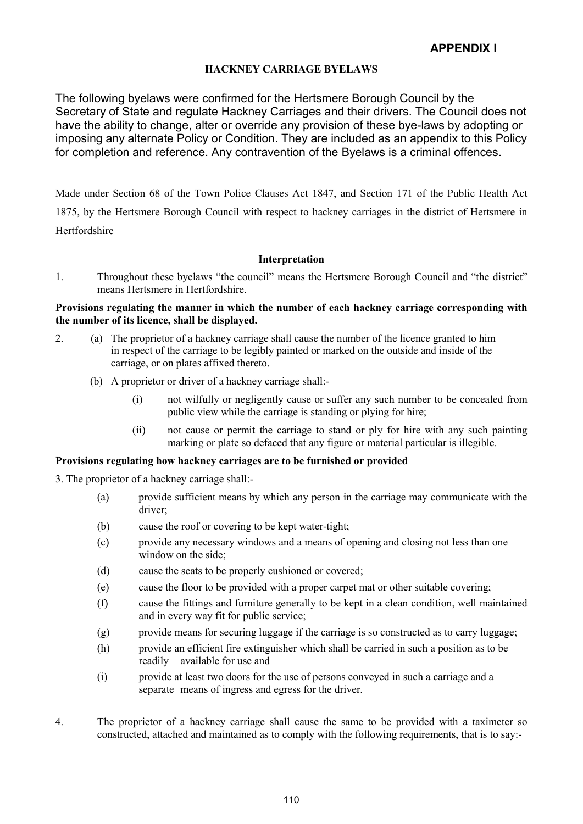# APPENDIX I

## HACKNEY CARRIAGE BYELAWS

The following byelaws were confirmed for the Hertsmere Borough Council by the Secretary of State and regulate Hackney Carriages and their drivers. The Council does not have the ability to change, alter or override any provision of these bye-laws by adopting or imposing any alternate Policy or Condition. They are included as an appendix to this Policy for completion and reference. Any contravention of the Byelaws is a criminal offences.

Made under Section 68 of the Town Police Clauses Act 1847, and Section 171 of the Public Health Act 1875, by the Hertsmere Borough Council with respect to hackney carriages in the district of Hertsmere in

Hertfordshire

## Interpretation

1. Throughout these byelaws "the council" means the Hertsmere Borough Council and "the district" means Hertsmere in Hertfordshire.

#### Provisions regulating the manner in which the number of each hackney carriage corresponding with the number of its licence, shall be displayed.

- 2. (a) The proprietor of a hackney carriage shall cause the number of the licence granted to him in respect of the carriage to be legibly painted or marked on the outside and inside of the carriage, or on plates affixed thereto.
	- (b) A proprietor or driver of a hackney carriage shall:-
		- (i) not wilfully or negligently cause or suffer any such number to be concealed from public view while the carriage is standing or plying for hire;
		- (ii) not cause or permit the carriage to stand or ply for hire with any such painting marking or plate so defaced that any figure or material particular is illegible.

#### Provisions regulating how hackney carriages are to be furnished or provided

3. The proprietor of a hackney carriage shall:-

- (a) provide sufficient means by which any person in the carriage may communicate with the driver;
- (b) cause the roof or covering to be kept water-tight;
- (c) provide any necessary windows and a means of opening and closing not less than one window on the side;
- (d) cause the seats to be properly cushioned or covered;
- (e) cause the floor to be provided with a proper carpet mat or other suitable covering;
- (f) cause the fittings and furniture generally to be kept in a clean condition, well maintained and in every way fit for public service;
- $(g)$  provide means for securing luggage if the carriage is so constructed as to carry luggage;
- (h) provide an efficient fire extinguisher which shall be carried in such a position as to be readily available for use and
- (i) provide at least two doors for the use of persons conveyed in such a carriage and a separate means of ingress and egress for the driver.
- 4. The proprietor of a hackney carriage shall cause the same to be provided with a taximeter so constructed, attached and maintained as to comply with the following requirements, that is to say:-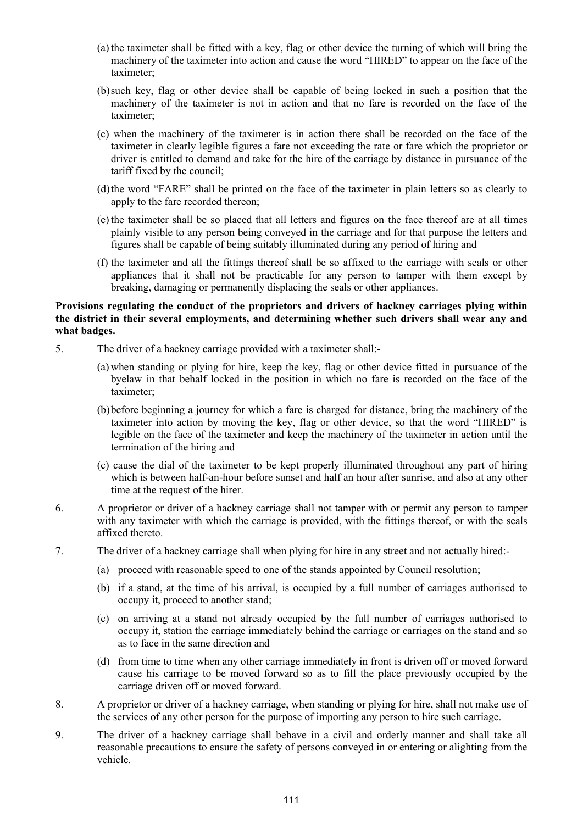- (a) the taximeter shall be fitted with a key, flag or other device the turning of which will bring the machinery of the taximeter into action and cause the word "HIRED" to appear on the face of the taximeter;
- (b) such key, flag or other device shall be capable of being locked in such a position that the machinery of the taximeter is not in action and that no fare is recorded on the face of the taximeter;
- (c) when the machinery of the taximeter is in action there shall be recorded on the face of the taximeter in clearly legible figures a fare not exceeding the rate or fare which the proprietor or driver is entitled to demand and take for the hire of the carriage by distance in pursuance of the tariff fixed by the council;
- (d) the word "FARE" shall be printed on the face of the taximeter in plain letters so as clearly to apply to the fare recorded thereon;
- (e) the taximeter shall be so placed that all letters and figures on the face thereof are at all times plainly visible to any person being conveyed in the carriage and for that purpose the letters and figures shall be capable of being suitably illuminated during any period of hiring and
- (f) the taximeter and all the fittings thereof shall be so affixed to the carriage with seals or other appliances that it shall not be practicable for any person to tamper with them except by breaking, damaging or permanently displacing the seals or other appliances.

## Provisions regulating the conduct of the proprietors and drivers of hackney carriages plying within the district in their several employments, and determining whether such drivers shall wear any and what badges.

- 5. The driver of a hackney carriage provided with a taximeter shall:-
	- (a) when standing or plying for hire, keep the key, flag or other device fitted in pursuance of the byelaw in that behalf locked in the position in which no fare is recorded on the face of the taximeter;
	- (b) before beginning a journey for which a fare is charged for distance, bring the machinery of the taximeter into action by moving the key, flag or other device, so that the word "HIRED" is legible on the face of the taximeter and keep the machinery of the taximeter in action until the termination of the hiring and
	- (c) cause the dial of the taximeter to be kept properly illuminated throughout any part of hiring which is between half-an-hour before sunset and half an hour after sunrise, and also at any other time at the request of the hirer.
- 6. A proprietor or driver of a hackney carriage shall not tamper with or permit any person to tamper with any taximeter with which the carriage is provided, with the fittings thereof, or with the seals affixed thereto.
- 7. The driver of a hackney carriage shall when plying for hire in any street and not actually hired:-
	- (a) proceed with reasonable speed to one of the stands appointed by Council resolution;
	- (b) if a stand, at the time of his arrival, is occupied by a full number of carriages authorised to occupy it, proceed to another stand;
	- (c) on arriving at a stand not already occupied by the full number of carriages authorised to occupy it, station the carriage immediately behind the carriage or carriages on the stand and so as to face in the same direction and
	- (d) from time to time when any other carriage immediately in front is driven off or moved forward cause his carriage to be moved forward so as to fill the place previously occupied by the carriage driven off or moved forward.
- 8. A proprietor or driver of a hackney carriage, when standing or plying for hire, shall not make use of the services of any other person for the purpose of importing any person to hire such carriage.
- 9. The driver of a hackney carriage shall behave in a civil and orderly manner and shall take all reasonable precautions to ensure the safety of persons conveyed in or entering or alighting from the vehicle.